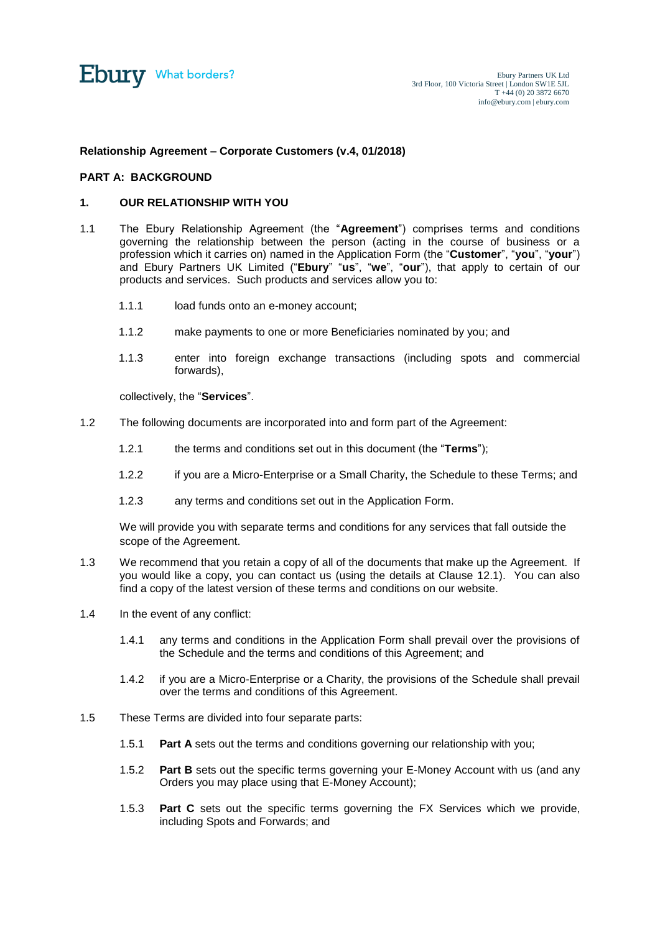

# **Relationship Agreement – Corporate Customers (v.4, 01/2018)**

#### **PART A: BACKGROUND**

## **1. OUR RELATIONSHIP WITH YOU**

- <span id="page-0-0"></span>1.1 The Ebury Relationship Agreement (the "**Agreement**") comprises terms and conditions governing the relationship between the person (acting in the course of business or a profession which it carries on) named in the Application Form (the "**Customer**", "**you**", "**your**") and Ebury Partners UK Limited ("**Ebury**" "**us**", "**we**", "**our**"), that apply to certain of our products and services. Such products and services allow you to:
	- 1.1.1 load funds onto an e-money account;
	- 1.1.2 make payments to one or more Beneficiaries nominated by you; and
	- 1.1.3 enter into foreign exchange transactions (including spots and commercial forwards),

collectively, the "**Services**".

- 1.2 The following documents are incorporated into and form part of the Agreement:
	- 1.2.1 the terms and conditions set out in this document (the "**Terms**");
	- 1.2.2 if you are a Micro-Enterprise or a Small Charity, the Schedule to these Terms; and
	- 1.2.3 any terms and conditions set out in the Application Form.

We will provide you with separate terms and conditions for any services that fall outside the scope of the Agreement.

- 1.3 We recommend that you retain a copy of all of the documents that make up the Agreement. If you would like a copy, you can contact us (using the details at Clause [12.1\)](#page-10-0). You can also find a copy of the latest version of these terms and conditions on our website.
- 1.4 In the event of any conflict:
	- 1.4.1 any terms and conditions in the Application Form shall prevail over the provisions of the Schedule and the terms and conditions of this Agreement; and
	- 1.4.2 if you are a Micro-Enterprise or a Charity, the provisions of the Schedule shall prevail over the terms and conditions of this Agreement.
- 1.5 These Terms are divided into four separate parts:
	- 1.5.1 **Part A** sets out the terms and conditions governing our relationship with you;
	- 1.5.2 **Part B** sets out the specific terms governing your E-Money Account with us (and any Orders you may place using that E-Money Account);
	- 1.5.3 **Part C** sets out the specific terms governing the FX Services which we provide, including Spots and Forwards; and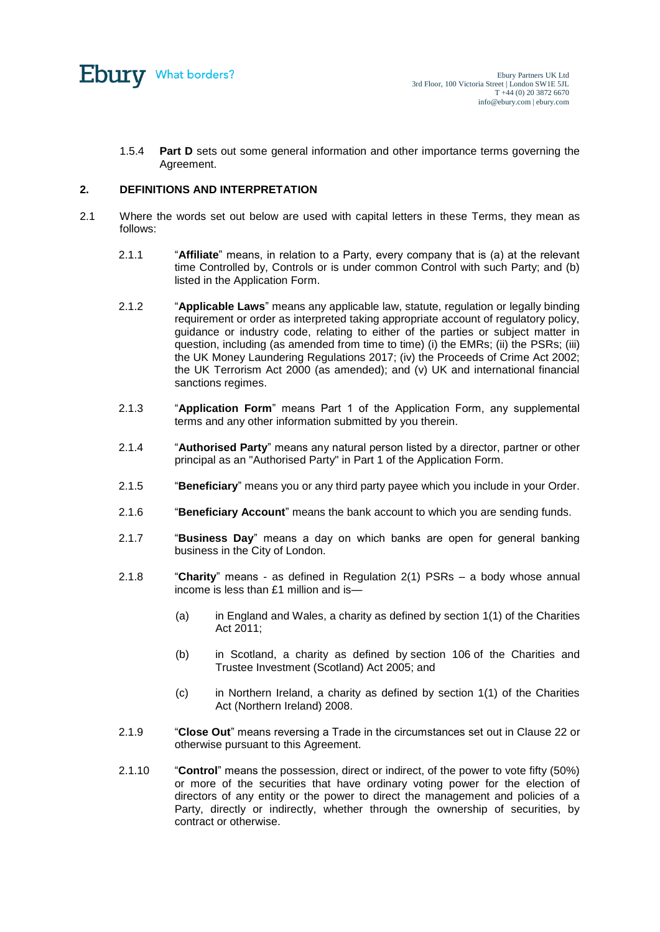

1.5.4 **Part D** sets out some general information and other importance terms governing the Agreement.

# **2. DEFINITIONS AND INTERPRETATION**

- 2.1 Where the words set out below are used with capital letters in these Terms, they mean as follows:
	- 2.1.1 "**Affiliate**" means, in relation to a Party, every company that is (a) at the relevant time Controlled by, Controls or is under common Control with such Party; and (b) listed in the Application Form.
	- 2.1.2 "**Applicable Laws**" means any applicable law, statute, regulation or legally binding requirement or order as interpreted taking appropriate account of regulatory policy, guidance or industry code, relating to either of the parties or subject matter in question, including (as amended from time to time) (i) the EMRs; (ii) the PSRs; (iii) the UK Money Laundering Regulations 2017; (iv) the Proceeds of Crime Act 2002; the UK Terrorism Act 2000 (as amended); and (v) UK and international financial sanctions regimes.
	- 2.1.3 "**Application Form**" means Part 1 of the Application Form, any supplemental terms and any other information submitted by you therein.
	- 2.1.4 "**Authorised Party**" means any natural person listed by a director, partner or other principal as an "Authorised Party" in Part 1 of the Application Form.
	- 2.1.5 "**Beneficiary**" means you or any third party payee which you include in your Order.
	- 2.1.6 "**Beneficiary Account**" means the bank account to which you are sending funds.
	- 2.1.7 "**Business Day**" means a day on which banks are open for general banking business in the City of London.
	- 2.1.8 "**Charity**" means as defined in Regulation 2(1) PSRs a body whose annual income is less than £1 million and is—
		- (a) in England and Wales, a charity as defined by section 1(1) of the Charities Act 2011;
		- (b) in Scotland, a charity as defined by section 106 of the Charities and Trustee Investment (Scotland) Act 2005; and
		- (c) in Northern Ireland, a charity as defined by section 1(1) of the Charities Act (Northern Ireland) 2008.
	- 2.1.9 "**Close Out**" means reversing a Trade in the circumstances set out in Clause [22](#page-16-0) or otherwise pursuant to this Agreement.
	- 2.1.10 "**Control**" means the possession, direct or indirect, of the power to vote fifty (50%) or more of the securities that have ordinary voting power for the election of directors of any entity or the power to direct the management and policies of a Party, directly or indirectly, whether through the ownership of securities, by contract or otherwise.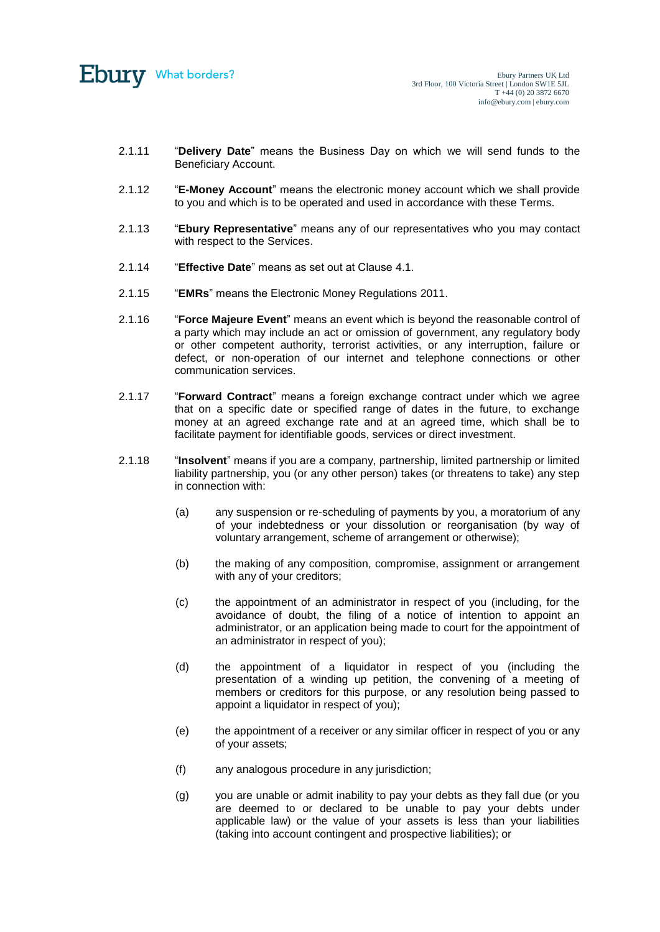

- 2.1.11 "**Delivery Date**" means the Business Day on which we will send funds to the Beneficiary Account.
- 2.1.12 "**E-Money Account**" means the electronic money account which we shall provide to you and which is to be operated and used in accordance with these Terms.
- 2.1.13 "**Ebury Representative**" means any of our representatives who you may contact with respect to the Services.
- 2.1.14 "**Effective Date**" means as set out at Clause [4.1.](#page-5-0)
- 2.1.15 "**EMRs**" means the Electronic Money Regulations 2011.
- 2.1.16 "**Force Majeure Event**" means an event which is beyond the reasonable control of a party which may include an act or omission of government, any regulatory body or other competent authority, terrorist activities, or any interruption, failure or defect, or non-operation of our internet and telephone connections or other communication services.
- 2.1.17 "**Forward Contract**" means a foreign exchange contract under which we agree that on a specific date or specified range of dates in the future, to exchange money at an agreed exchange rate and at an agreed time, which shall be to facilitate payment for identifiable goods, services or direct investment.
- 2.1.18 "**Insolvent**" means if you are a company, partnership, limited partnership or limited liability partnership, you (or any other person) takes (or threatens to take) any step in connection with:
	- (a) any suspension or re-scheduling of payments by you, a moratorium of any of your indebtedness or your dissolution or reorganisation (by way of voluntary arrangement, scheme of arrangement or otherwise);
	- (b) the making of any composition, compromise, assignment or arrangement with any of your creditors;
	- (c) the appointment of an administrator in respect of you (including, for the avoidance of doubt, the filing of a notice of intention to appoint an administrator, or an application being made to court for the appointment of an administrator in respect of you);
	- (d) the appointment of a liquidator in respect of you (including the presentation of a winding up petition, the convening of a meeting of members or creditors for this purpose, or any resolution being passed to appoint a liquidator in respect of you);
	- (e) the appointment of a receiver or any similar officer in respect of you or any of your assets;
	- (f) any analogous procedure in any jurisdiction;
	- (g) you are unable or admit inability to pay your debts as they fall due (or you are deemed to or declared to be unable to pay your debts under applicable law) or the value of your assets is less than your liabilities (taking into account contingent and prospective liabilities); or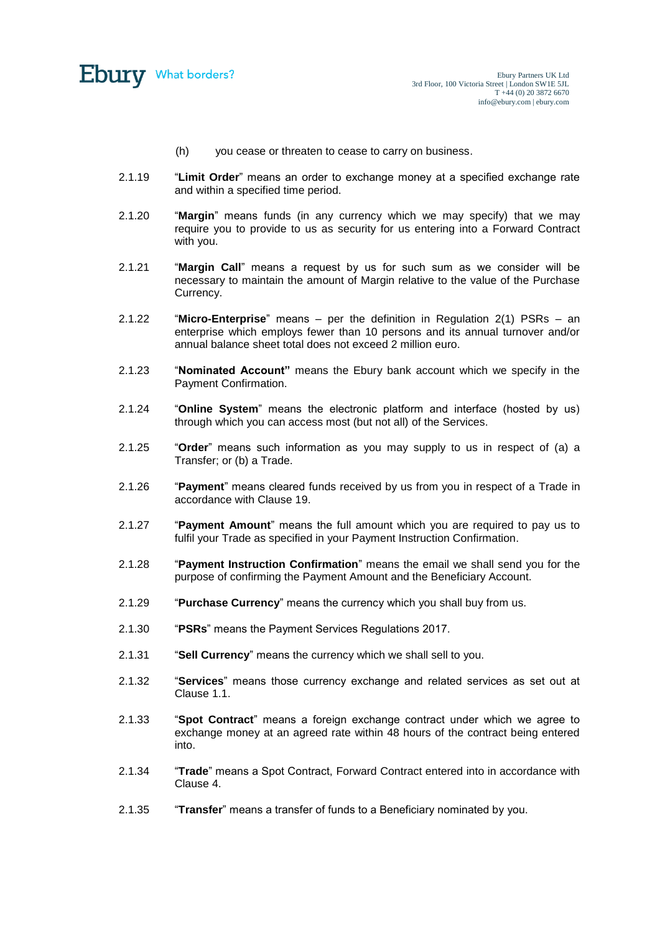

- (h) you cease or threaten to cease to carry on business.
- 2.1.19 "**Limit Order**" means an order to exchange money at a specified exchange rate and within a specified time period.
- 2.1.20 "**Margin**" means funds (in any currency which we may specify) that we may require you to provide to us as security for us entering into a Forward Contract with you.
- 2.1.21 "**Margin Call**" means a request by us for such sum as we consider will be necessary to maintain the amount of Margin relative to the value of the Purchase Currency.
- 2.1.22 "**Micro-Enterprise**" means per the definition in Regulation 2(1) PSRs an enterprise which employs fewer than 10 persons and its annual turnover and/or annual balance sheet total does not exceed 2 million euro.
- 2.1.23 "**Nominated Account"** means the Ebury bank account which we specify in the Payment Confirmation.
- 2.1.24 "**Online System**" means the electronic platform and interface (hosted by us) through which you can access most (but not all) of the Services.
- 2.1.25 "**Order**" means such information as you may supply to us in respect of (a) a Transfer; or (b) a Trade.
- 2.1.26 "**Payment**" means cleared funds received by us from you in respect of a Trade in accordance with Clause [19.](#page-15-0)
- 2.1.27 "**Payment Amount**" means the full amount which you are required to pay us to fulfil your Trade as specified in your Payment Instruction Confirmation.
- 2.1.28 "**Payment Instruction Confirmation**" means the email we shall send you for the purpose of confirming the Payment Amount and the Beneficiary Account.
- 2.1.29 "**Purchase Currency**" means the currency which you shall buy from us.
- 2.1.30 "**PSRs**" means the Payment Services Regulations 2017.
- 2.1.31 "**Sell Currency**" means the currency which we shall sell to you.
- 2.1.32 "**Services**" means those currency exchange and related services as set out at Clause [1.1.](#page-0-0)
- 2.1.33 "**Spot Contract**" means a foreign exchange contract under which we agree to exchange money at an agreed rate within 48 hours of the contract being entered into.
- 2.1.34 "**Trade**" means a Spot Contract, Forward Contract entered into in accordance with Clause 4.
- 2.1.35 "**Transfer**" means a transfer of funds to a Beneficiary nominated by you.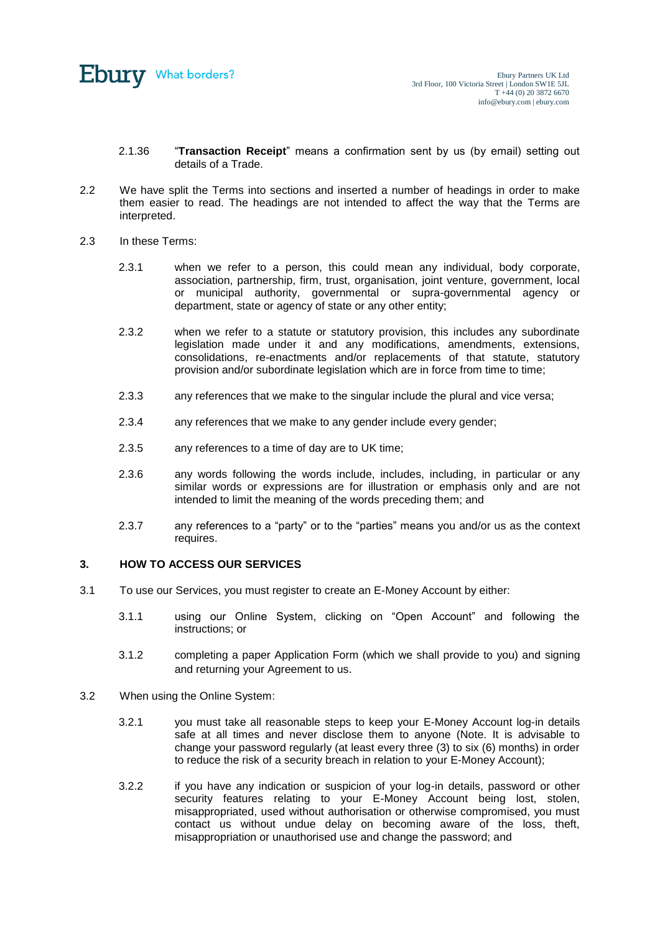

- 2.1.36 "**Transaction Receipt**" means a confirmation sent by us (by email) setting out details of a Trade.
- 2.2 We have split the Terms into sections and inserted a number of headings in order to make them easier to read. The headings are not intended to affect the way that the Terms are interpreted.
- 2.3 In these Terms:
	- 2.3.1 when we refer to a person, this could mean any individual, body corporate, association, partnership, firm, trust, organisation, joint venture, government, local or municipal authority, governmental or supra-governmental agency or department, state or agency of state or any other entity;
	- 2.3.2 when we refer to a statute or statutory provision, this includes any subordinate legislation made under it and any modifications, amendments, extensions, consolidations, re-enactments and/or replacements of that statute, statutory provision and/or subordinate legislation which are in force from time to time;
	- 2.3.3 any references that we make to the singular include the plural and vice versa;
	- 2.3.4 any references that we make to any gender include every gender;
	- 2.3.5 any references to a time of day are to UK time;
	- 2.3.6 any words following the words include, includes, including, in particular or any similar words or expressions are for illustration or emphasis only and are not intended to limit the meaning of the words preceding them; and
	- 2.3.7 any references to a "party" or to the "parties" means you and/or us as the context requires.

## **3. HOW TO ACCESS OUR SERVICES**

- 3.1 To use our Services, you must register to create an E-Money Account by either:
	- 3.1.1 using our Online System, clicking on "Open Account" and following the instructions; or
	- 3.1.2 completing a paper Application Form (which we shall provide to you) and signing and returning your Agreement to us.
- 3.2 When using the Online System:
	- 3.2.1 you must take all reasonable steps to keep your E-Money Account log-in details safe at all times and never disclose them to anyone (Note. It is advisable to change your password regularly (at least every three (3) to six (6) months) in order to reduce the risk of a security breach in relation to your E-Money Account);
	- 3.2.2 if you have any indication or suspicion of your log-in details, password or other security features relating to your E-Money Account being lost, stolen, misappropriated, used without authorisation or otherwise compromised, you must contact us without undue delay on becoming aware of the loss, theft, misappropriation or unauthorised use and change the password; and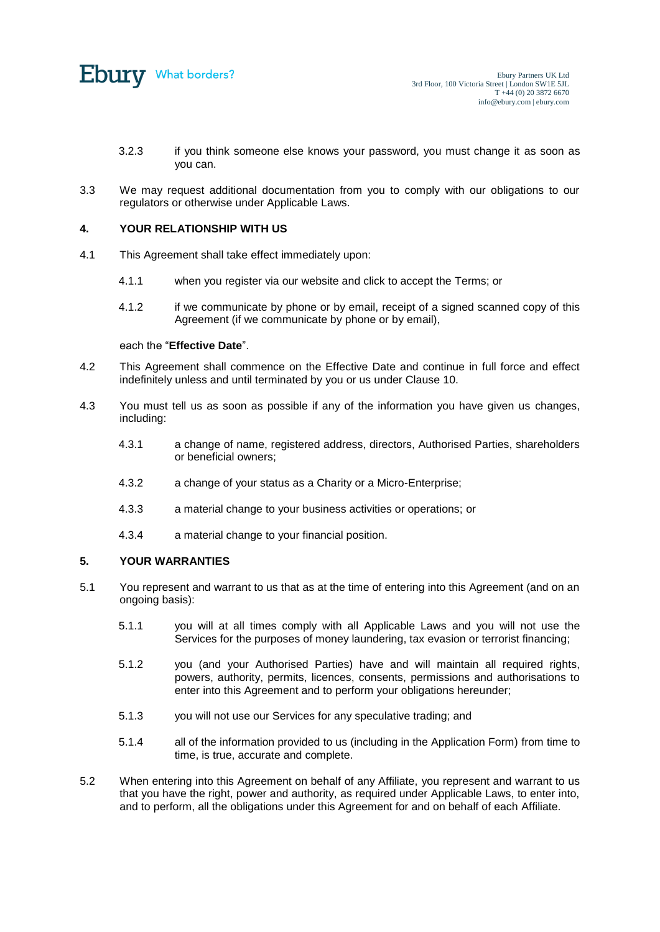

- 3.2.3 if you think someone else knows your password, you must change it as soon as you can.
- 3.3 We may request additional documentation from you to comply with our obligations to our regulators or otherwise under Applicable Laws.

# **4. YOUR RELATIONSHIP WITH US**

- <span id="page-5-0"></span>4.1 This Agreement shall take effect immediately upon:
	- 4.1.1 when you register via our website and click to accept the Terms; or
	- 4.1.2 if we communicate by phone or by email, receipt of a signed scanned copy of this Agreement (if we communicate by phone or by email),

#### each the "**Effective Date**".

- 4.2 This Agreement shall commence on the Effective Date and continue in full force and effect indefinitely unless and until terminated by you or us under Clause [10.](#page-9-0)
- 4.3 You must tell us as soon as possible if any of the information you have given us changes, including:
	- 4.3.1 a change of name, registered address, directors, Authorised Parties, shareholders or beneficial owners;
	- 4.3.2 a change of your status as a Charity or a Micro-Enterprise;
	- 4.3.3 a material change to your business activities or operations; or
	- 4.3.4 a material change to your financial position.

## **5. YOUR WARRANTIES**

- 5.1 You represent and warrant to us that as at the time of entering into this Agreement (and on an ongoing basis):
	- 5.1.1 you will at all times comply with all Applicable Laws and you will not use the Services for the purposes of money laundering, tax evasion or terrorist financing;
	- 5.1.2 you (and your Authorised Parties) have and will maintain all required rights, powers, authority, permits, licences, consents, permissions and authorisations to enter into this Agreement and to perform your obligations hereunder;
	- 5.1.3 you will not use our Services for any speculative trading; and
	- 5.1.4 all of the information provided to us (including in the Application Form) from time to time, is true, accurate and complete.
- 5.2 When entering into this Agreement on behalf of any Affiliate, you represent and warrant to us that you have the right, power and authority, as required under Applicable Laws, to enter into, and to perform, all the obligations under this Agreement for and on behalf of each Affiliate.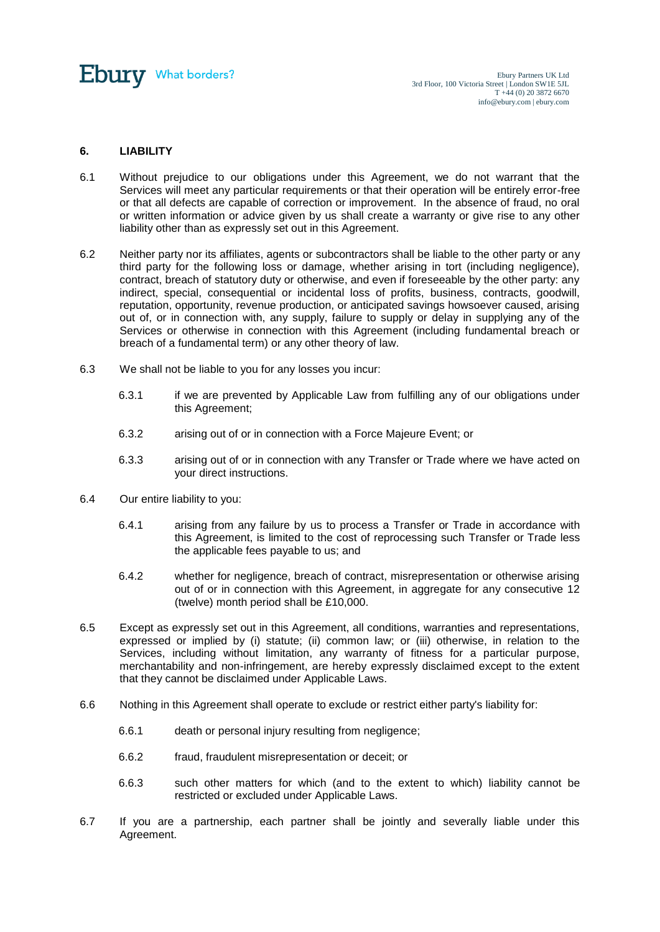

# **6. LIABILITY**

- 6.1 Without prejudice to our obligations under this Agreement, we do not warrant that the Services will meet any particular requirements or that their operation will be entirely error-free or that all defects are capable of correction or improvement. In the absence of fraud, no oral or written information or advice given by us shall create a warranty or give rise to any other liability other than as expressly set out in this Agreement.
- 6.2 Neither party nor its affiliates, agents or subcontractors shall be liable to the other party or any third party for the following loss or damage, whether arising in tort (including negligence), contract, breach of statutory duty or otherwise, and even if foreseeable by the other party: any indirect, special, consequential or incidental loss of profits, business, contracts, goodwill, reputation, opportunity, revenue production, or anticipated savings howsoever caused, arising out of, or in connection with, any supply, failure to supply or delay in supplying any of the Services or otherwise in connection with this Agreement (including fundamental breach or breach of a fundamental term) or any other theory of law.
- 6.3 We shall not be liable to you for any losses you incur:
	- 6.3.1 if we are prevented by Applicable Law from fulfilling any of our obligations under this Agreement;
	- 6.3.2 arising out of or in connection with a Force Majeure Event; or
	- 6.3.3 arising out of or in connection with any Transfer or Trade where we have acted on your direct instructions.
- <span id="page-6-0"></span>6.4 Our entire liability to you:
	- 6.4.1 arising from any failure by us to process a Transfer or Trade in accordance with this Agreement, is limited to the cost of reprocessing such Transfer or Trade less the applicable fees payable to us; and
	- 6.4.2 whether for negligence, breach of contract, misrepresentation or otherwise arising out of or in connection with this Agreement, in aggregate for any consecutive 12 (twelve) month period shall be £10,000.
- 6.5 Except as expressly set out in this Agreement, all conditions, warranties and representations, expressed or implied by (i) statute; (ii) common law; or (iii) otherwise, in relation to the Services, including without limitation, any warranty of fitness for a particular purpose, merchantability and non-infringement, are hereby expressly disclaimed except to the extent that they cannot be disclaimed under Applicable Laws.
- 6.6 Nothing in this Agreement shall operate to exclude or restrict either party's liability for:
	- 6.6.1 death or personal injury resulting from negligence;
	- 6.6.2 fraud, fraudulent misrepresentation or deceit; or
	- 6.6.3 such other matters for which (and to the extent to which) liability cannot be restricted or excluded under Applicable Laws.
- 6.7 If you are a partnership, each partner shall be jointly and severally liable under this Agreement.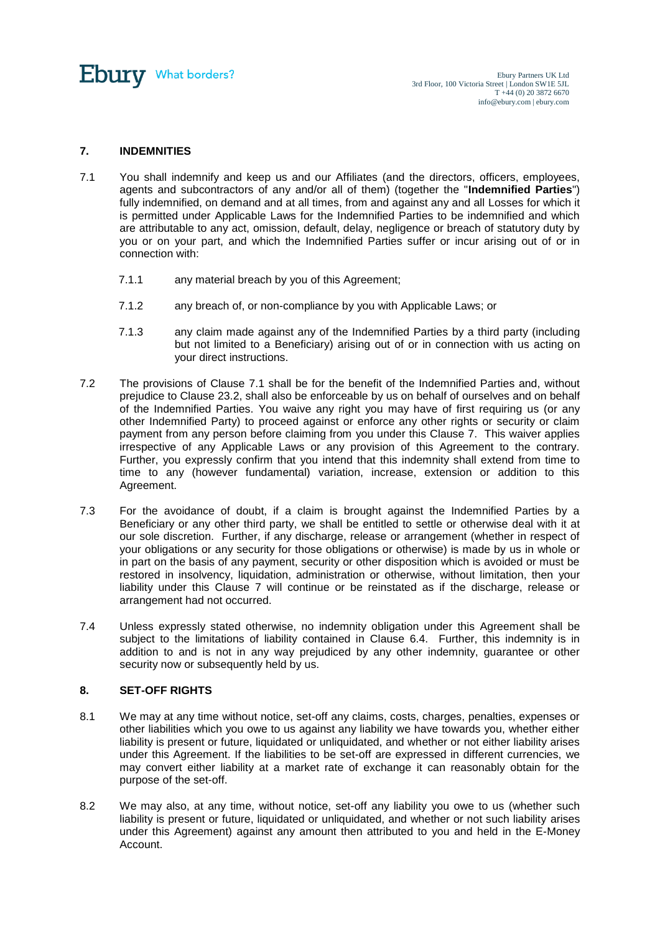

# <span id="page-7-1"></span>**7. INDEMNITIES**

- <span id="page-7-0"></span>7.1 You shall indemnify and keep us and our Affiliates (and the directors, officers, employees, agents and subcontractors of any and/or all of them) (together the "**Indemnified Parties**") fully indemnified, on demand and at all times, from and against any and all Losses for which it is permitted under Applicable Laws for the Indemnified Parties to be indemnified and which are attributable to any act, omission, default, delay, negligence or breach of statutory duty by you or on your part, and which the Indemnified Parties suffer or incur arising out of or in connection with:
	- 7.1.1 any material breach by you of this Agreement;
	- 7.1.2 any breach of, or non-compliance by you with Applicable Laws; or
	- 7.1.3 any claim made against any of the Indemnified Parties by a third party (including but not limited to a Beneficiary) arising out of or in connection with us acting on your direct instructions.
- 7.2 The provisions of Clause [7.1](#page-7-0) shall be for the benefit of the Indemnified Parties and, without prejudice to Clause [23.2,](#page-17-0) shall also be enforceable by us on behalf of ourselves and on behalf of the Indemnified Parties. You waive any right you may have of first requiring us (or any other Indemnified Party) to proceed against or enforce any other rights or security or claim payment from any person before claiming from you under this Clause [7.](#page-7-1) This waiver applies irrespective of any Applicable Laws or any provision of this Agreement to the contrary. Further, you expressly confirm that you intend that this indemnity shall extend from time to time to any (however fundamental) variation, increase, extension or addition to this Agreement.
- 7.3 For the avoidance of doubt, if a claim is brought against the Indemnified Parties by a Beneficiary or any other third party, we shall be entitled to settle or otherwise deal with it at our sole discretion. Further, if any discharge, release or arrangement (whether in respect of your obligations or any security for those obligations or otherwise) is made by us in whole or in part on the basis of any payment, security or other disposition which is avoided or must be restored in insolvency, liquidation, administration or otherwise, without limitation, then your liability under this Clause [7](#page-7-1) will continue or be reinstated as if the discharge, release or arrangement had not occurred.
- 7.4 Unless expressly stated otherwise, no indemnity obligation under this Agreement shall be subject to the limitations of liability contained in Clause [6.4.](#page-6-0) Further, this indemnity is in addition to and is not in any way prejudiced by any other indemnity, guarantee or other security now or subsequently held by us.

## <span id="page-7-2"></span>**8. SET-OFF RIGHTS**

- 8.1 We may at any time without notice, set-off any claims, costs, charges, penalties, expenses or other liabilities which you owe to us against any liability we have towards you, whether either liability is present or future, liquidated or unliquidated, and whether or not either liability arises under this Agreement. If the liabilities to be set-off are expressed in different currencies, we may convert either liability at a market rate of exchange it can reasonably obtain for the purpose of the set-off.
- 8.2 We may also, at any time, without notice, set-off any liability you owe to us (whether such liability is present or future, liquidated or unliquidated, and whether or not such liability arises under this Agreement) against any amount then attributed to you and held in the E-Money Account.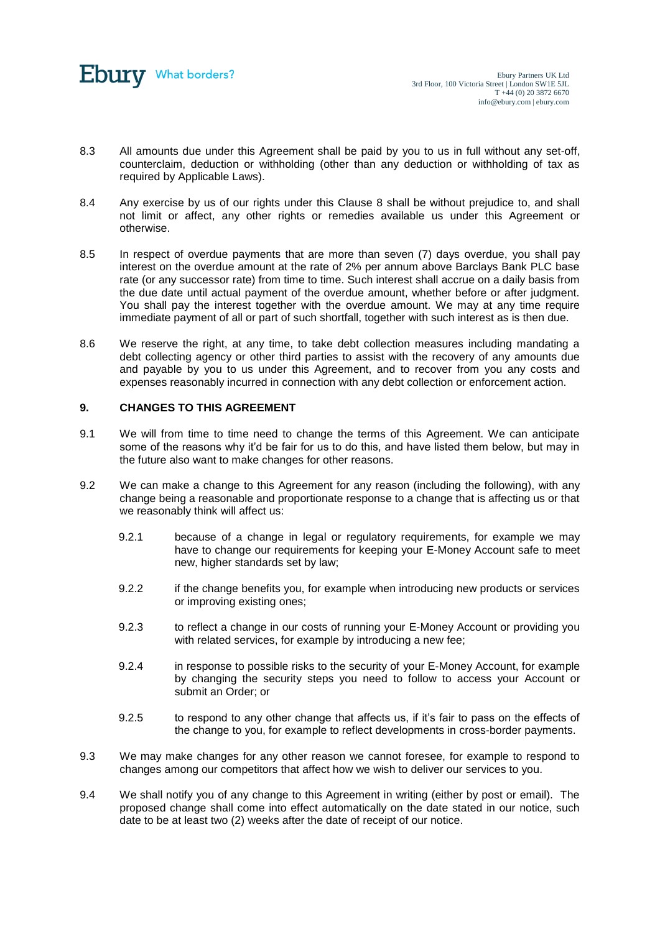

- 8.3 All amounts due under this Agreement shall be paid by you to us in full without any set-off, counterclaim, deduction or withholding (other than any deduction or withholding of tax as required by Applicable Laws).
- 8.4 Any exercise by us of our rights under this Clause [8](#page-7-2) shall be without prejudice to, and shall not limit or affect, any other rights or remedies available us under this Agreement or otherwise.
- 8.5 In respect of overdue payments that are more than seven (7) days overdue, you shall pay interest on the overdue amount at the rate of 2% per annum above Barclays Bank PLC base rate (or any successor rate) from time to time. Such interest shall accrue on a daily basis from the due date until actual payment of the overdue amount, whether before or after judgment. You shall pay the interest together with the overdue amount. We may at any time require immediate payment of all or part of such shortfall, together with such interest as is then due.
- 8.6 We reserve the right, at any time, to take debt collection measures including mandating a debt collecting agency or other third parties to assist with the recovery of any amounts due and payable by you to us under this Agreement, and to recover from you any costs and expenses reasonably incurred in connection with any debt collection or enforcement action.

# **9. CHANGES TO THIS AGREEMENT**

- 9.1 We will from time to time need to change the terms of this Agreement. We can anticipate some of the reasons why it'd be fair for us to do this, and have listed them below, but may in the future also want to make changes for other reasons.
- 9.2 We can make a change to this Agreement for any reason (including the following), with any change being a reasonable and proportionate response to a change that is affecting us or that we reasonably think will affect us:
	- 9.2.1 because of a change in legal or regulatory requirements, for example we may have to change our requirements for keeping your E-Money Account safe to meet new, higher standards set by law;
	- 9.2.2 if the change benefits you, for example when introducing new products or services or improving existing ones;
	- 9.2.3 to reflect a change in our costs of running your E-Money Account or providing you with related services, for example by introducing a new fee;
	- 9.2.4 in response to possible risks to the security of your E-Money Account, for example by changing the security steps you need to follow to access your Account or submit an Order; or
	- 9.2.5 to respond to any other change that affects us, if it's fair to pass on the effects of the change to you, for example to reflect developments in cross-border payments.
- 9.3 We may make changes for any other reason we cannot foresee, for example to respond to changes among our competitors that affect how we wish to deliver our services to you.
- <span id="page-8-0"></span>9.4 We shall notify you of any change to this Agreement in writing (either by post or email). The proposed change shall come into effect automatically on the date stated in our notice, such date to be at least two (2) weeks after the date of receipt of our notice.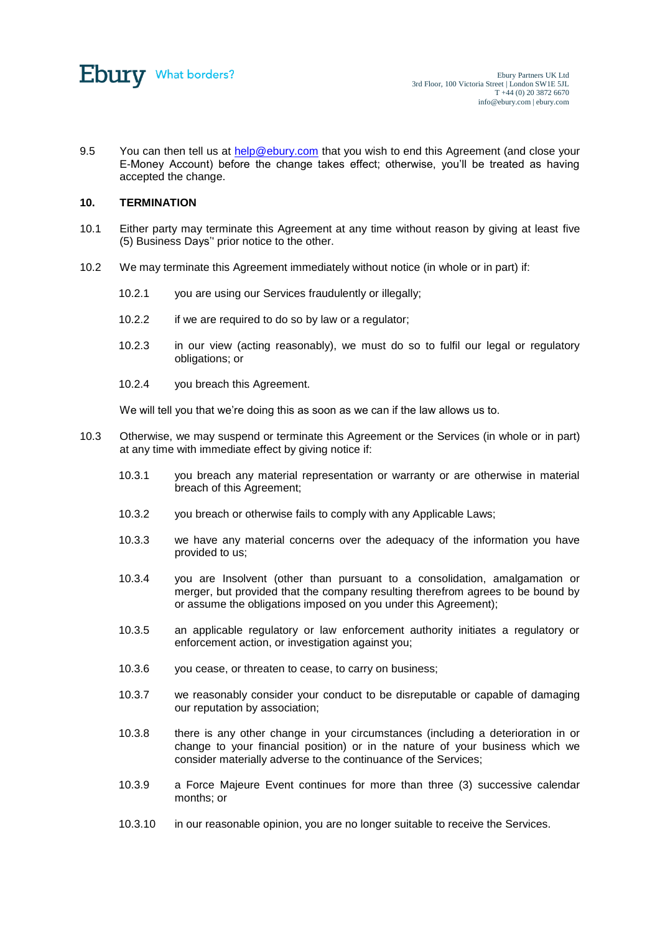

9.5 You can then tell us at [help@ebury.com](mailto:help@ebury.com) that you wish to end this Agreement (and close your E-Money Account) before the change takes effect; otherwise, you'll be treated as having accepted the change.

#### <span id="page-9-0"></span>**10. TERMINATION**

- <span id="page-9-1"></span>10.1 Either party may terminate this Agreement at any time without reason by giving at least five (5) Business Days'' prior notice to the other.
- 10.2 We may terminate this Agreement immediately without notice (in whole or in part) if:
	- 10.2.1 you are using our Services fraudulently or illegally;
	- 10.2.2 if we are required to do so by law or a regulator;
	- 10.2.3 in our view (acting reasonably), we must do so to fulfil our legal or regulatory obligations; or
	- 10.2.4 you breach this Agreement.

We will tell you that we're doing this as soon as we can if the law allows us to.

- 10.3 Otherwise, we may suspend or terminate this Agreement or the Services (in whole or in part) at any time with immediate effect by giving notice if:
	- 10.3.1 you breach any material representation or warranty or are otherwise in material breach of this Agreement;
	- 10.3.2 you breach or otherwise fails to comply with any Applicable Laws;
	- 10.3.3 we have any material concerns over the adequacy of the information you have provided to us;
	- 10.3.4 you are Insolvent (other than pursuant to a consolidation, amalgamation or merger, but provided that the company resulting therefrom agrees to be bound by or assume the obligations imposed on you under this Agreement);
	- 10.3.5 an applicable regulatory or law enforcement authority initiates a regulatory or enforcement action, or investigation against you;
	- 10.3.6 you cease, or threaten to cease, to carry on business;
	- 10.3.7 we reasonably consider your conduct to be disreputable or capable of damaging our reputation by association;
	- 10.3.8 there is any other change in your circumstances (including a deterioration in or change to your financial position) or in the nature of your business which we consider materially adverse to the continuance of the Services;
	- 10.3.9 a Force Majeure Event continues for more than three (3) successive calendar months; or
	- 10.3.10 in our reasonable opinion, you are no longer suitable to receive the Services.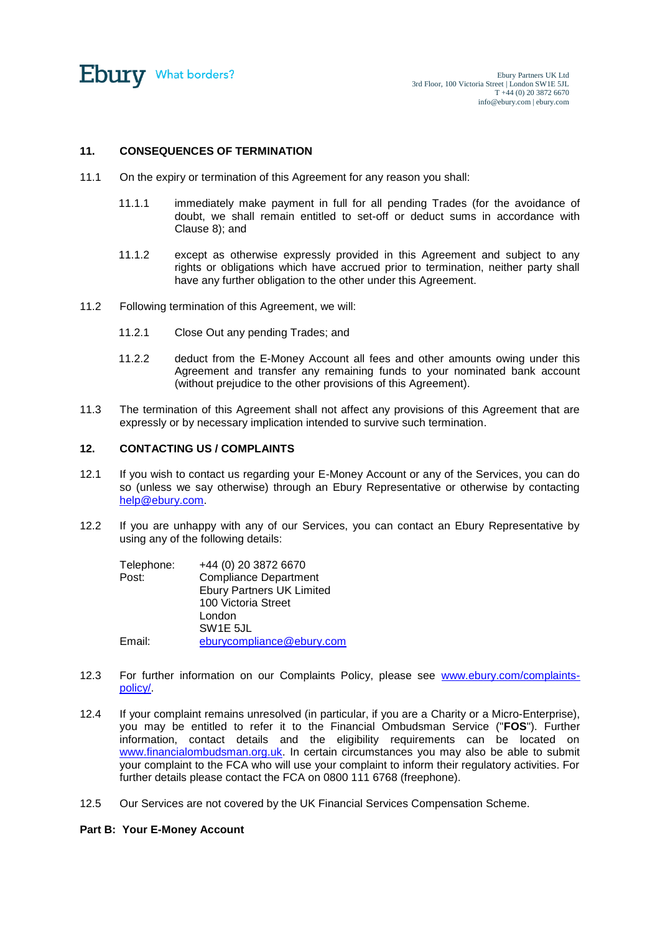

# **11. CONSEQUENCES OF TERMINATION**

- 11.1 On the expiry or termination of this Agreement for any reason you shall:
	- 11.1.1 immediately make payment in full for all pending Trades (for the avoidance of doubt, we shall remain entitled to set-off or deduct sums in accordance with Clause [8\)](#page-7-2); and
	- 11.1.2 except as otherwise expressly provided in this Agreement and subject to any rights or obligations which have accrued prior to termination, neither party shall have any further obligation to the other under this Agreement.
- 11.2 Following termination of this Agreement, we will:
	- 11.2.1 Close Out any pending Trades; and
	- 11.2.2 deduct from the E-Money Account all fees and other amounts owing under this Agreement and transfer any remaining funds to your nominated bank account (without prejudice to the other provisions of this Agreement).
- 11.3 The termination of this Agreement shall not affect any provisions of this Agreement that are expressly or by necessary implication intended to survive such termination.

# **12. CONTACTING US / COMPLAINTS**

- <span id="page-10-0"></span>12.1 If you wish to contact us regarding your E-Money Account or any of the Services, you can do so (unless we say otherwise) through an Ebury Representative or otherwise by contacting [help@ebury.com.](mailto:help@ebury.com)
- 12.2 If you are unhappy with any of our Services, you can contact an Ebury Representative by using any of the following details:

| Telephone: | +44 (0) 20 3872 6670             |
|------------|----------------------------------|
| Post:      | <b>Compliance Department</b>     |
|            | <b>Ebury Partners UK Limited</b> |
|            | 100 Victoria Street              |
|            | London                           |
|            | SW <sub>1</sub> E 5JL            |
| Email:     | eburycompliance@ebury.com        |

- 12.3 For further information on our Complaints Policy, please see [www.ebury.com/complaints](http://www.ebury.com/complaints-policy/)[policy/.](http://www.ebury.com/complaints-policy/)
- 12.4 If your complaint remains unresolved (in particular, if you are a Charity or a Micro-Enterprise), you may be entitled to refer it to the Financial Ombudsman Service ("**FOS**"). Further information, contact details and the eligibility requirements can be located on [www.financialombudsman.org.uk.](http://www.financialombudsman.org.uk/) In certain circumstances you may also be able to submit your complaint to the FCA who will use your complaint to inform their regulatory activities. For further details please contact the FCA on 0800 111 6768 (freephone).
- 12.5 Our Services are not covered by the UK Financial Services Compensation Scheme.

## **Part B: Your E-Money Account**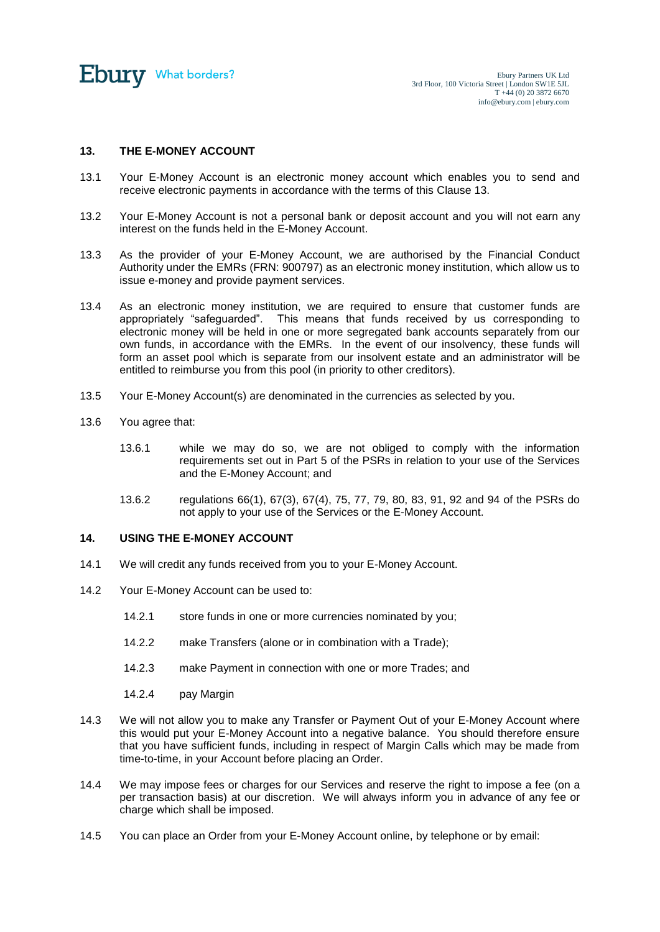

# **13. THE E-MONEY ACCOUNT**

- 13.1 Your E-Money Account is an electronic money account which enables you to send and receive electronic payments in accordance with the terms of this Clause 13.
- 13.2 Your E-Money Account is not a personal bank or deposit account and you will not earn any interest on the funds held in the E-Money Account.
- 13.3 As the provider of your E-Money Account, we are authorised by the Financial Conduct Authority under the EMRs (FRN: 900797) as an electronic money institution, which allow us to issue e-money and provide payment services.
- 13.4 As an electronic money institution, we are required to ensure that customer funds are appropriately "safeguarded". This means that funds received by us corresponding to electronic money will be held in one or more segregated bank accounts separately from our own funds, in accordance with the EMRs. In the event of our insolvency, these funds will form an asset pool which is separate from our insolvent estate and an administrator will be entitled to reimburse you from this pool (in priority to other creditors).
- 13.5 Your E-Money Account(s) are denominated in the currencies as selected by you.
- 13.6 You agree that:
	- 13.6.1 while we may do so, we are not obliged to comply with the information requirements set out in Part 5 of the PSRs in relation to your use of the Services and the E-Money Account; and
	- 13.6.2 regulations 66(1), 67(3), 67(4), 75, 77, 79, 80, 83, 91, 92 and 94 of the PSRs do not apply to your use of the Services or the E-Money Account.

# **14. USING THE E-MONEY ACCOUNT**

- 14.1 We will credit any funds received from you to your E-Money Account.
- 14.2 Your E-Money Account can be used to:
	- 14.2.1 store funds in one or more currencies nominated by you;
	- 14.2.2 make Transfers (alone or in combination with a Trade);
	- 14.2.3 make Payment in connection with one or more Trades; and
	- 14.2.4 pay Margin
- 14.3 We will not allow you to make any Transfer or Payment Out of your E-Money Account where this would put your E-Money Account into a negative balance. You should therefore ensure that you have sufficient funds, including in respect of Margin Calls which may be made from time-to-time, in your Account before placing an Order.
- 14.4 We may impose fees or charges for our Services and reserve the right to impose a fee (on a per transaction basis) at our discretion. We will always inform you in advance of any fee or charge which shall be imposed.
- <span id="page-11-0"></span>14.5 You can place an Order from your E-Money Account online, by telephone or by email: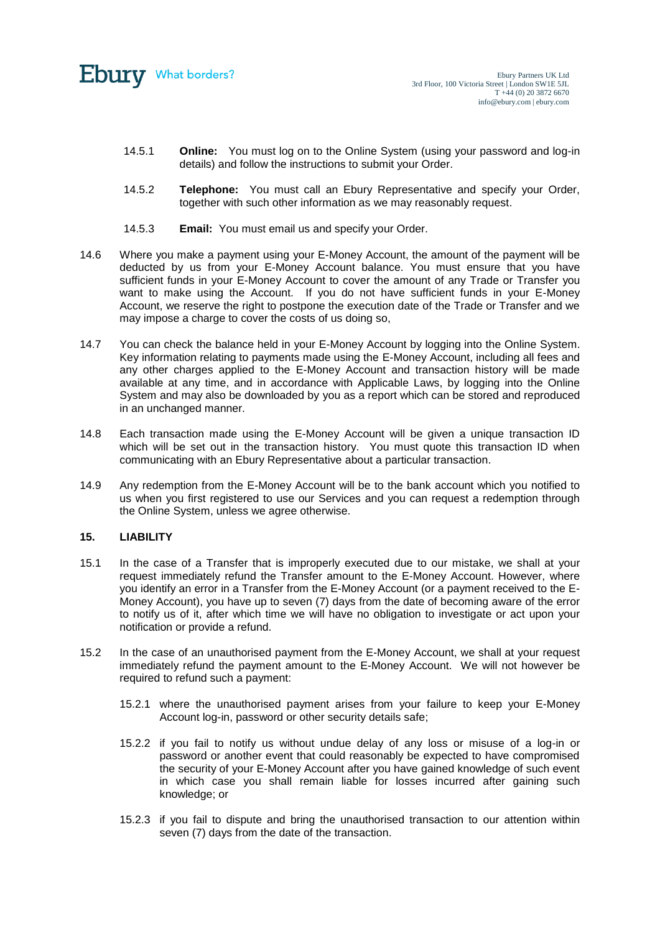

- 14.5.1 **Online:** You must log on to the Online System (using your password and log-in details) and follow the instructions to submit your Order.
- 14.5.2 **Telephone:** You must call an Ebury Representative and specify your Order, together with such other information as we may reasonably request.
- 14.5.3 **Email:** You must email us and specify your Order.
- 14.6 Where you make a payment using your E-Money Account, the amount of the payment will be deducted by us from your E-Money Account balance. You must ensure that you have sufficient funds in your E-Money Account to cover the amount of any Trade or Transfer vou want to make using the Account. If you do not have sufficient funds in your E-Money Account, we reserve the right to postpone the execution date of the Trade or Transfer and we may impose a charge to cover the costs of us doing so,
- 14.7 You can check the balance held in your E-Money Account by logging into the Online System. Key information relating to payments made using the E-Money Account, including all fees and any other charges applied to the E-Money Account and transaction history will be made available at any time, and in accordance with Applicable Laws, by logging into the Online System and may also be downloaded by you as a report which can be stored and reproduced in an unchanged manner.
- 14.8 Each transaction made using the E-Money Account will be given a unique transaction ID which will be set out in the transaction history. You must quote this transaction ID when communicating with an Ebury Representative about a particular transaction.
- 14.9 Any redemption from the E-Money Account will be to the bank account which you notified to us when you first registered to use our Services and you can request a redemption through the Online System, unless we agree otherwise.

## **15. LIABILITY**

- 15.1 In the case of a Transfer that is improperly executed due to our mistake, we shall at your request immediately refund the Transfer amount to the E-Money Account. However, where you identify an error in a Transfer from the E-Money Account (or a payment received to the E-Money Account), you have up to seven (7) days from the date of becoming aware of the error to notify us of it, after which time we will have no obligation to investigate or act upon your notification or provide a refund.
- 15.2 In the case of an unauthorised payment from the E-Money Account, we shall at your request immediately refund the payment amount to the E-Money Account. We will not however be required to refund such a payment:
	- 15.2.1 where the unauthorised payment arises from your failure to keep your E-Money Account log-in, password or other security details safe;
	- 15.2.2 if you fail to notify us without undue delay of any loss or misuse of a log-in or password or another event that could reasonably be expected to have compromised the security of your E-Money Account after you have gained knowledge of such event in which case you shall remain liable for losses incurred after gaining such knowledge; or
	- 15.2.3 if you fail to dispute and bring the unauthorised transaction to our attention within seven (7) days from the date of the transaction.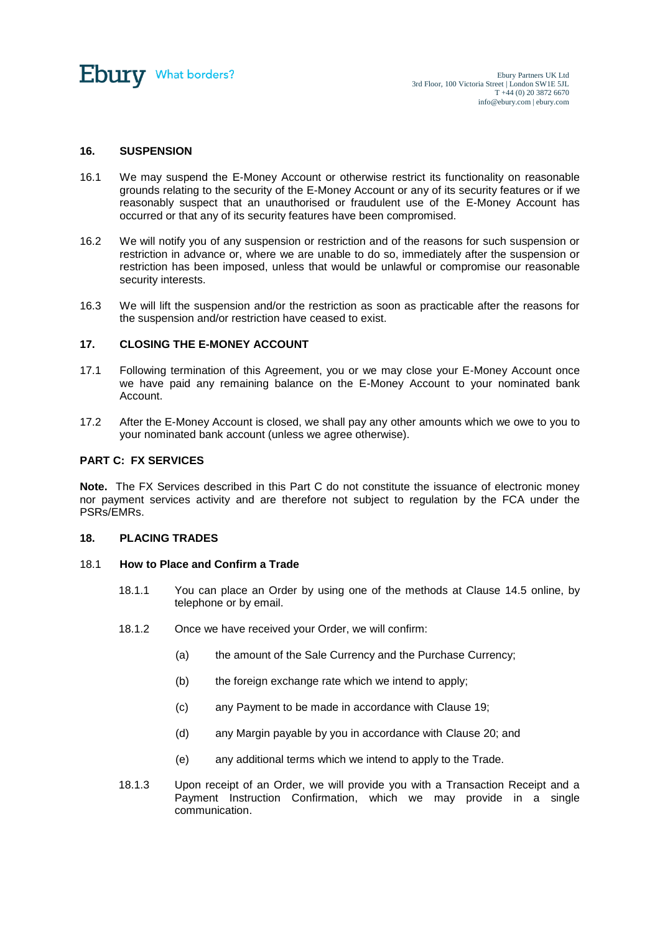

## **16. SUSPENSION**

- 16.1 We may suspend the E-Money Account or otherwise restrict its functionality on reasonable grounds relating to the security of the E-Money Account or any of its security features or if we reasonably suspect that an unauthorised or fraudulent use of the E-Money Account has occurred or that any of its security features have been compromised.
- 16.2 We will notify you of any suspension or restriction and of the reasons for such suspension or restriction in advance or, where we are unable to do so, immediately after the suspension or restriction has been imposed, unless that would be unlawful or compromise our reasonable security interests.
- 16.3 We will lift the suspension and/or the restriction as soon as practicable after the reasons for the suspension and/or restriction have ceased to exist.

# **17. CLOSING THE E-MONEY ACCOUNT**

- 17.1 Following termination of this Agreement, you or we may close your E-Money Account once we have paid any remaining balance on the E-Money Account to your nominated bank Account.
- 17.2 After the E-Money Account is closed, we shall pay any other amounts which we owe to you to your nominated bank account (unless we agree otherwise).

## **PART C: FX SERVICES**

**Note.** The FX Services described in this Part C do not constitute the issuance of electronic money nor payment services activity and are therefore not subject to regulation by the FCA under the PSRs/EMRs.

## **18. PLACING TRADES**

## 18.1 **How to Place and Confirm a Trade**

- 18.1.1 You can place an Order by using one of the methods at Clause [14.5](#page-11-0) online, by telephone or by email.
- 18.1.2 Once we have received your Order, we will confirm:
	- (a) the amount of the Sale Currency and the Purchase Currency;
	- (b) the foreign exchange rate which we intend to apply;
	- (c) any Payment to be made in accordance with Clause [19;](#page-15-0)
	- (d) any Margin payable by you in accordance with Clause [20;](#page-15-1) and
	- (e) any additional terms which we intend to apply to the Trade.
- 18.1.3 Upon receipt of an Order, we will provide you with a Transaction Receipt and a Payment Instruction Confirmation, which we may provide in a single communication.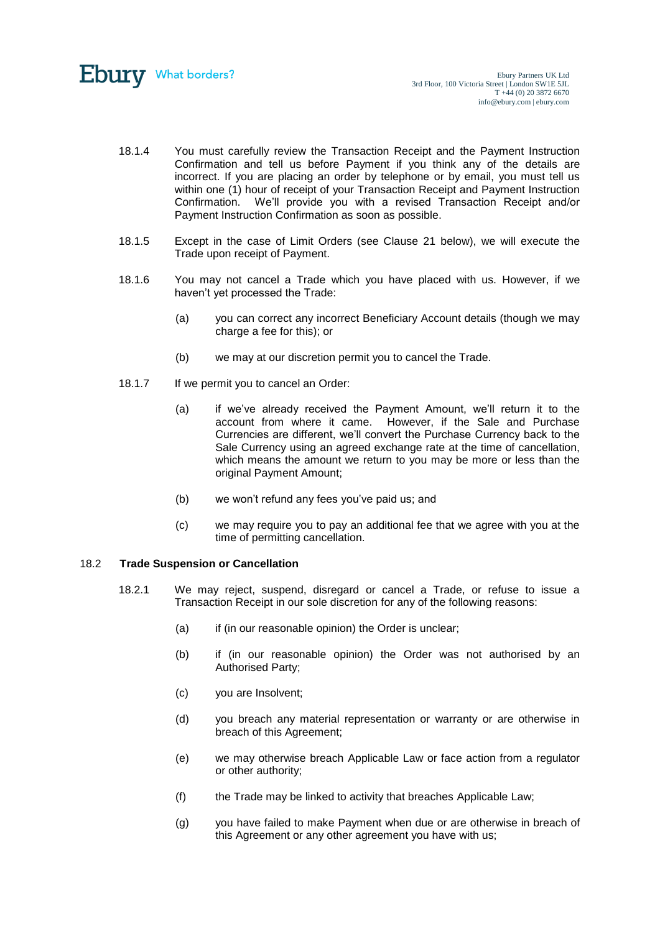

- 18.1.4 You must carefully review the Transaction Receipt and the Payment Instruction Confirmation and tell us before Payment if you think any of the details are incorrect. If you are placing an order by telephone or by email, you must tell us within one (1) hour of receipt of your Transaction Receipt and Payment Instruction Confirmation. We'll provide you with a revised Transaction Receipt and/or Payment Instruction Confirmation as soon as possible.
- 18.1.5 Except in the case of Limit Orders (see Clause [21](#page-16-1) below), we will execute the Trade upon receipt of Payment.
- 18.1.6 You may not cancel a Trade which you have placed with us. However, if we haven't yet processed the Trade:
	- (a) you can correct any incorrect Beneficiary Account details (though we may charge a fee for this); or
	- (b) we may at our discretion permit you to cancel the Trade.
- 18.1.7 If we permit you to cancel an Order:
	- (a) if we've already received the Payment Amount, we'll return it to the account from where it came. However, if the Sale and Purchase Currencies are different, we'll convert the Purchase Currency back to the Sale Currency using an agreed exchange rate at the time of cancellation, which means the amount we return to you may be more or less than the original Payment Amount;
	- (b) we won't refund any fees you've paid us; and
	- (c) we may require you to pay an additional fee that we agree with you at the time of permitting cancellation.

## 18.2 **Trade Suspension or Cancellation**

- 18.2.1 We may reject, suspend, disregard or cancel a Trade, or refuse to issue a Transaction Receipt in our sole discretion for any of the following reasons:
	- (a) if (in our reasonable opinion) the Order is unclear;
	- (b) if (in our reasonable opinion) the Order was not authorised by an Authorised Party;
	- (c) you are Insolvent;
	- (d) you breach any material representation or warranty or are otherwise in breach of this Agreement;
	- (e) we may otherwise breach Applicable Law or face action from a regulator or other authority;
	- (f) the Trade may be linked to activity that breaches Applicable Law;
	- (g) you have failed to make Payment when due or are otherwise in breach of this Agreement or any other agreement you have with us;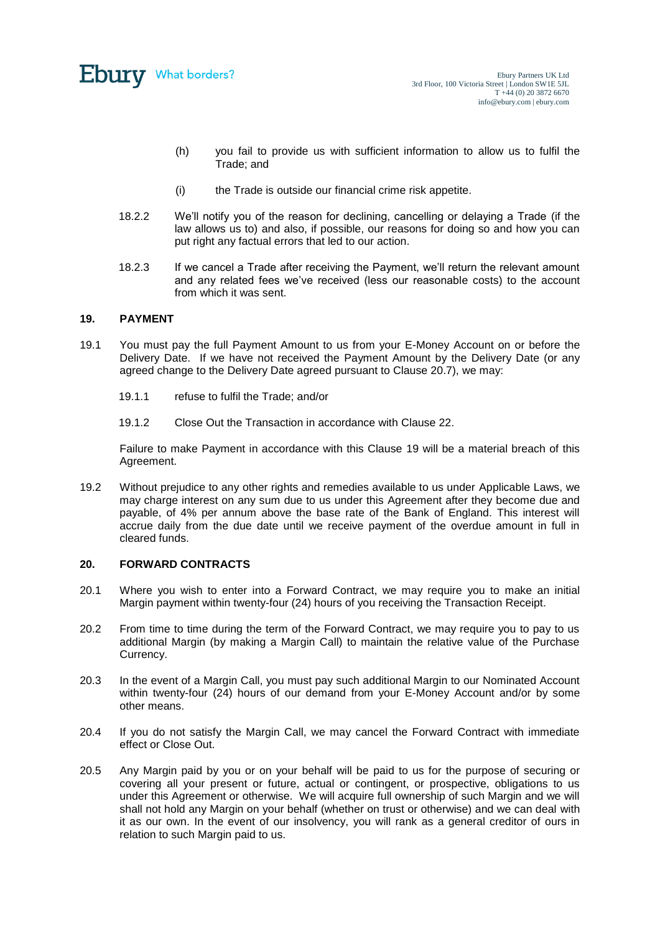

- (h) you fail to provide us with sufficient information to allow us to fulfil the Trade; and
- (i) the Trade is outside our financial crime risk appetite.
- 18.2.2 We'll notify you of the reason for declining, cancelling or delaying a Trade (if the law allows us to) and also, if possible, our reasons for doing so and how you can put right any factual errors that led to our action.
- 18.2.3 If we cancel a Trade after receiving the Payment, we'll return the relevant amount and any related fees we've received (less our reasonable costs) to the account from which it was sent.

#### <span id="page-15-0"></span>**19. PAYMENT**

- 19.1 You must pay the full Payment Amount to us from your E-Money Account on or before the Delivery Date. If we have not received the Payment Amount by the Delivery Date (or any agreed change to the Delivery Date agreed pursuant to Clause [20.7\)](#page-16-2), we may:
	- 19.1.1 refuse to fulfil the Trade; and/or
	- 19.1.2 Close Out the Transaction in accordance with Clause [22.](#page-16-0)

Failure to make Payment in accordance with this Clause [19](#page-15-0) will be a material breach of this Agreement.

19.2 Without prejudice to any other rights and remedies available to us under Applicable Laws, we may charge interest on any sum due to us under this Agreement after they become due and payable, of 4% per annum above the base rate of the Bank of England. This interest will accrue daily from the due date until we receive payment of the overdue amount in full in cleared funds.

## <span id="page-15-1"></span>**20. FORWARD CONTRACTS**

- 20.1 Where you wish to enter into a Forward Contract, we may require you to make an initial Margin payment within twenty-four (24) hours of you receiving the Transaction Receipt.
- 20.2 From time to time during the term of the Forward Contract, we may require you to pay to us additional Margin (by making a Margin Call) to maintain the relative value of the Purchase Currency.
- 20.3 In the event of a Margin Call, you must pay such additional Margin to our Nominated Account within twenty-four (24) hours of our demand from your E-Money Account and/or by some other means.
- 20.4 If you do not satisfy the Margin Call, we may cancel the Forward Contract with immediate effect or Close Out.
- 20.5 Any Margin paid by you or on your behalf will be paid to us for the purpose of securing or covering all your present or future, actual or contingent, or prospective, obligations to us under this Agreement or otherwise. We will acquire full ownership of such Margin and we will shall not hold any Margin on your behalf (whether on trust or otherwise) and we can deal with it as our own. In the event of our insolvency, you will rank as a general creditor of ours in relation to such Margin paid to us.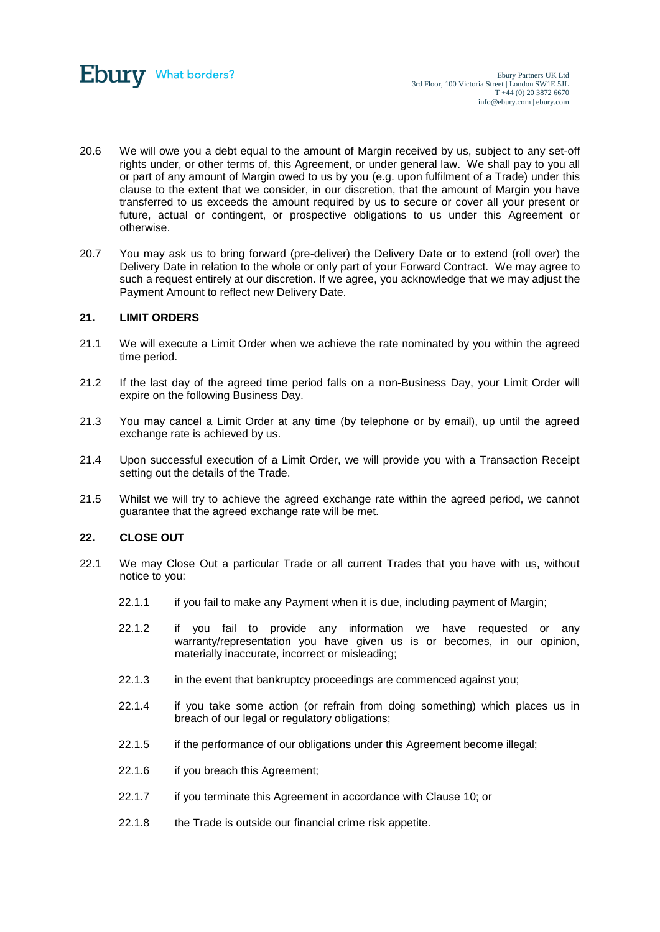

- 20.6 We will owe you a debt equal to the amount of Margin received by us, subject to any set-off rights under, or other terms of, this Agreement, or under general law. We shall pay to you all or part of any amount of Margin owed to us by you (e.g. upon fulfilment of a Trade) under this clause to the extent that we consider, in our discretion, that the amount of Margin you have transferred to us exceeds the amount required by us to secure or cover all your present or future, actual or contingent, or prospective obligations to us under this Agreement or otherwise.
- <span id="page-16-2"></span>20.7 You may ask us to bring forward (pre-deliver) the Delivery Date or to extend (roll over) the Delivery Date in relation to the whole or only part of your Forward Contract. We may agree to such a request entirely at our discretion. If we agree, you acknowledge that we may adjust the Payment Amount to reflect new Delivery Date.

## <span id="page-16-1"></span>**21. LIMIT ORDERS**

- 21.1 We will execute a Limit Order when we achieve the rate nominated by you within the agreed time period.
- 21.2 If the last day of the agreed time period falls on a non-Business Day, your Limit Order will expire on the following Business Day.
- 21.3 You may cancel a Limit Order at any time (by telephone or by email), up until the agreed exchange rate is achieved by us.
- 21.4 Upon successful execution of a Limit Order, we will provide you with a Transaction Receipt setting out the details of the Trade.
- 21.5 Whilst we will try to achieve the agreed exchange rate within the agreed period, we cannot guarantee that the agreed exchange rate will be met.

## <span id="page-16-0"></span>**22. CLOSE OUT**

- 22.1 We may Close Out a particular Trade or all current Trades that you have with us, without notice to you:
	- 22.1.1 if you fail to make any Payment when it is due, including payment of Margin;
	- 22.1.2 if you fail to provide any information we have requested or any warranty/representation you have given us is or becomes, in our opinion, materially inaccurate, incorrect or misleading;
	- 22.1.3 in the event that bankruptcy proceedings are commenced against you;
	- 22.1.4 if you take some action (or refrain from doing something) which places us in breach of our legal or regulatory obligations;
	- 22.1.5 if the performance of our obligations under this Agreement become illegal;
	- 22.1.6 if you breach this Agreement:
	- 22.1.7 if you terminate this Agreement in accordance with Clause 10; or
	- 22.1.8 the Trade is outside our financial crime risk appetite.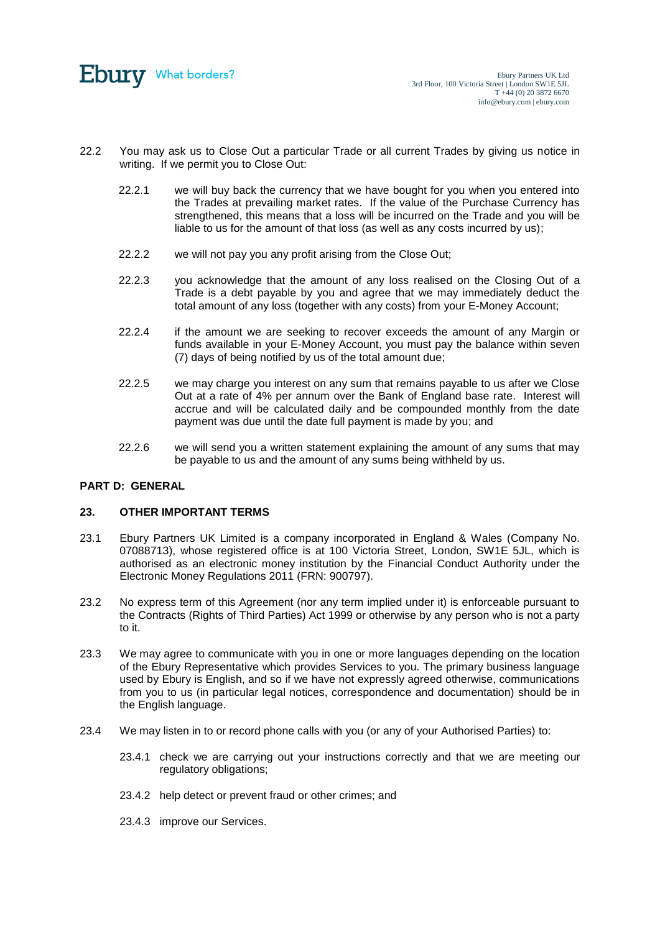

- 22.2 You may ask us to Close Out a particular Trade or all current Trades by giving us notice in writing. If we permit you to Close Out:
	- 22.2.1 we will buy back the currency that we have bought for you when you entered into the Trades at prevailing market rates. If the value of the Purchase Currency has strengthened, this means that a loss will be incurred on the Trade and you will be liable to us for the amount of that loss (as well as any costs incurred by us);
	- 22.2.2 we will not pay you any profit arising from the Close Out;
	- 22.2.3 you acknowledge that the amount of any loss realised on the Closing Out of a Trade is a debt payable by you and agree that we may immediately deduct the total amount of any loss (together with any costs) from your E-Money Account;
	- 22.2.4 if the amount we are seeking to recover exceeds the amount of any Margin or funds available in your E-Money Account, you must pay the balance within seven (7) days of being notified by us of the total amount due;
	- 22.2.5 we may charge you interest on any sum that remains payable to us after we Close Out at a rate of 4% per annum over the Bank of England base rate. Interest will accrue and will be calculated daily and be compounded monthly from the date payment was due until the date full payment is made by you; and
	- 22.2.6 we will send you a written statement explaining the amount of any sums that may be payable to us and the amount of any sums being withheld by us.

## **PART D: GENERAL**

#### **23. OTHER IMPORTANT TERMS**

- 23.1 Ebury Partners UK Limited is a company incorporated in England & Wales (Company No. 07088713), whose registered office is at 100 Victoria Street, London, SW1E 5JL, which is authorised as an electronic money institution by the Financial Conduct Authority under the Electronic Money Regulations 2011 (FRN: 900797).
- <span id="page-17-0"></span>23.2 No express term of this Agreement (nor any term implied under it) is enforceable pursuant to the Contracts (Rights of Third Parties) Act 1999 or otherwise by any person who is not a party to it.
- 23.3 We may agree to communicate with you in one or more languages depending on the location of the Ebury Representative which provides Services to you. The primary business language used by Ebury is English, and so if we have not expressly agreed otherwise, communications from you to us (in particular legal notices, correspondence and documentation) should be in the English language.
- 23.4 We may listen in to or record phone calls with you (or any of your Authorised Parties) to:
	- 23.4.1 check we are carrying out your instructions correctly and that we are meeting our regulatory obligations;
	- 23.4.2 help detect or prevent fraud or other crimes; and
	- 23.4.3 improve our Services.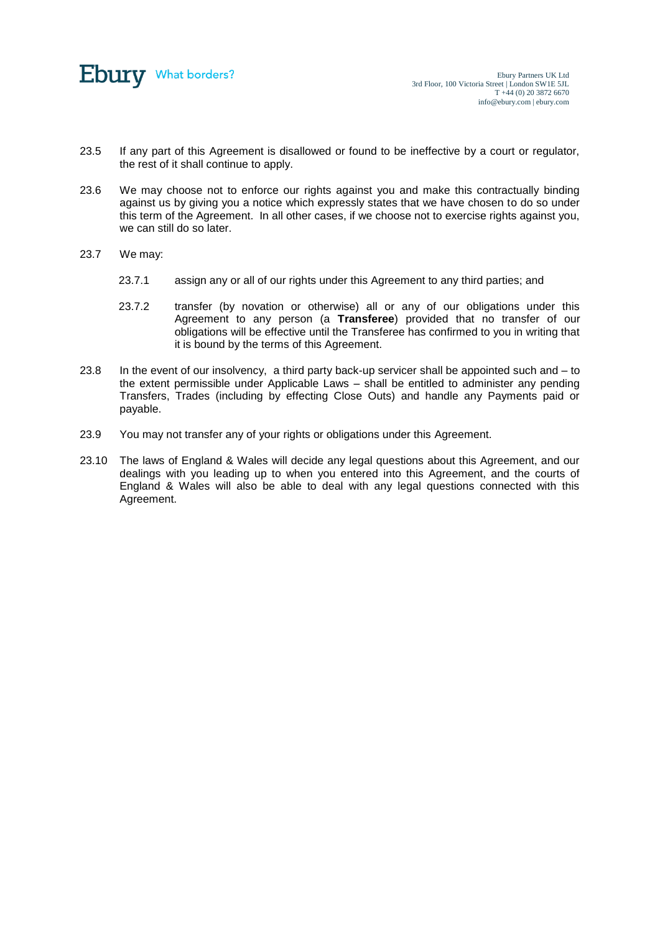

- 23.5 If any part of this Agreement is disallowed or found to be ineffective by a court or regulator, the rest of it shall continue to apply.
- 23.6 We may choose not to enforce our rights against you and make this contractually binding against us by giving you a notice which expressly states that we have chosen to do so under this term of the Agreement. In all other cases, if we choose not to exercise rights against you, we can still do so later.
- 23.7 We may:
	- 23.7.1 assign any or all of our rights under this Agreement to any third parties; and
	- 23.7.2 transfer (by novation or otherwise) all or any of our obligations under this Agreement to any person (a **Transferee**) provided that no transfer of our obligations will be effective until the Transferee has confirmed to you in writing that it is bound by the terms of this Agreement.
- 23.8 In the event of our insolvency, a third party back-up servicer shall be appointed such and  $-$  to the extent permissible under Applicable Laws – shall be entitled to administer any pending Transfers, Trades (including by effecting Close Outs) and handle any Payments paid or payable.
- 23.9 You may not transfer any of your rights or obligations under this Agreement.
- 23.10 The laws of England & Wales will decide any legal questions about this Agreement, and our dealings with you leading up to when you entered into this Agreement, and the courts of England & Wales will also be able to deal with any legal questions connected with this Agreement.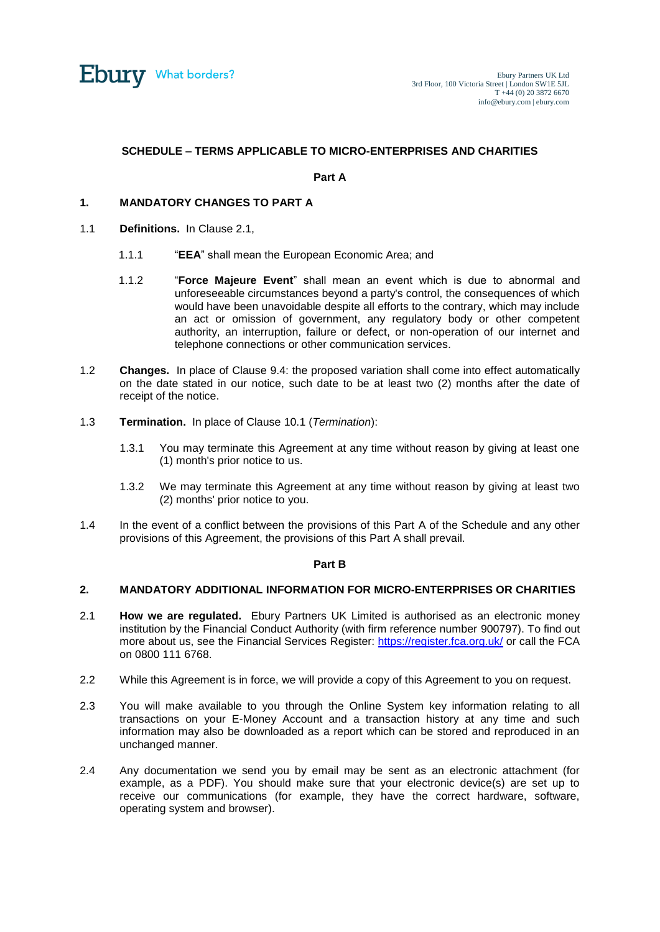

# **SCHEDULE – TERMS APPLICABLE TO MICRO-ENTERPRISES AND CHARITIES**

#### **Part A**

## **1. MANDATORY CHANGES TO PART A**

- 1.1 **Definitions.** In Clause 2.1,
	- 1.1.1 "**EEA**" shall mean the European Economic Area; and
	- 1.1.2 "**Force Majeure Event**" shall mean an event which is due to abnormal and unforeseeable circumstances beyond a party's control, the consequences of which would have been unavoidable despite all efforts to the contrary, which may include an act or omission of government, any regulatory body or other competent authority, an interruption, failure or defect, or non-operation of our internet and telephone connections or other communication services.
- 1.2 **Changes.** In place of Clause [9.4:](#page-8-0) the proposed variation shall come into effect automatically on the date stated in our notice, such date to be at least two (2) months after the date of receipt of the notice.
- 1.3 **Termination.** In place of Clause [10.1](#page-9-1) (*Termination*):
	- 1.3.1 You may terminate this Agreement at any time without reason by giving at least one (1) month's prior notice to us.
	- 1.3.2 We may terminate this Agreement at any time without reason by giving at least two (2) months' prior notice to you.
- 1.4 In the event of a conflict between the provisions of this Part A of the Schedule and any other provisions of this Agreement, the provisions of this Part A shall prevail.

#### **Part B**

## **2. MANDATORY ADDITIONAL INFORMATION FOR MICRO-ENTERPRISES OR CHARITIES**

- 2.1 **How we are regulated.** Ebury Partners UK Limited is authorised as an electronic money institution by the Financial Conduct Authority (with firm reference number 900797). To find out more about us, see the Financial Services Register:<https://register.fca.org.uk/> or call the FCA on 0800 111 6768.
- 2.2 While this Agreement is in force, we will provide a copy of this Agreement to you on request.
- 2.3 You will make available to you through the Online System key information relating to all transactions on your E-Money Account and a transaction history at any time and such information may also be downloaded as a report which can be stored and reproduced in an unchanged manner.
- 2.4 Any documentation we send you by email may be sent as an electronic attachment (for example, as a PDF). You should make sure that your electronic device(s) are set up to receive our communications (for example, they have the correct hardware, software, operating system and browser).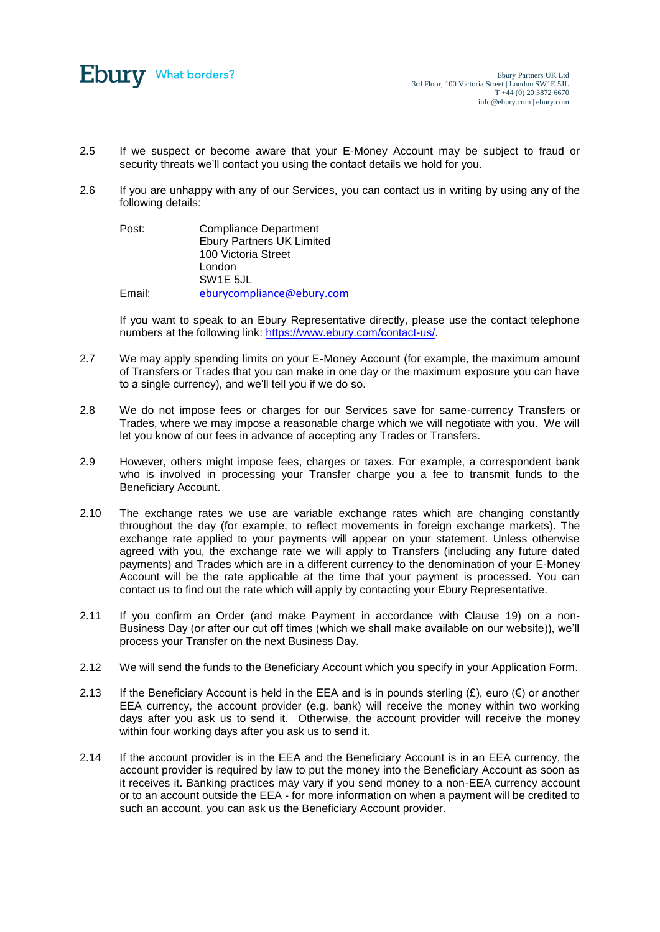

- 2.5 If we suspect or become aware that your E-Money Account may be subject to fraud or security threats we'll contact you using the contact details we hold for you.
- 2.6 If you are unhappy with any of our Services, you can contact us in writing by using any of the following details:

| Post:  | <b>Compliance Department</b>     |
|--------|----------------------------------|
|        | <b>Ebury Partners UK Limited</b> |
|        | 100 Victoria Street              |
|        | London                           |
|        | SW <sub>1</sub> E 5JL            |
| Email: | eburycompliance@ebury.com        |

If you want to speak to an Ebury Representative directly, please use the contact telephone numbers at the following link[: https://www.ebury.com/contact-us/.](https://www.ebury.com/contact-us/)

- 2.7 We may apply spending limits on your E-Money Account (for example, the maximum amount of Transfers or Trades that you can make in one day or the maximum exposure you can have to a single currency), and we'll tell you if we do so.
- 2.8 We do not impose fees or charges for our Services save for same-currency Transfers or Trades, where we may impose a reasonable charge which we will negotiate with you. We will let you know of our fees in advance of accepting any Trades or Transfers.
- 2.9 However, others might impose fees, charges or taxes. For example, a correspondent bank who is involved in processing your Transfer charge you a fee to transmit funds to the Beneficiary Account.
- 2.10 The exchange rates we use are variable exchange rates which are changing constantly throughout the day (for example, to reflect movements in foreign exchange markets). The exchange rate applied to your payments will appear on your statement. Unless otherwise agreed with you, the exchange rate we will apply to Transfers (including any future dated payments) and Trades which are in a different currency to the denomination of your E-Money Account will be the rate applicable at the time that your payment is processed. You can contact us to find out the rate which will apply by contacting your Ebury Representative.
- 2.11 If you confirm an Order (and make Payment in accordance with Clause 19) on a non-Business Day (or after our cut off times (which we shall make available on our website)), we'll process your Transfer on the next Business Day.
- 2.12 We will send the funds to the Beneficiary Account which you specify in your Application Form.
- 2.13 If the Beneficiary Account is held in the EEA and is in pounds sterling  $(E)$ , euro  $(E)$  or another EEA currency, the account provider (e.g. bank) will receive the money within two working days after you ask us to send it. Otherwise, the account provider will receive the money within four working days after you ask us to send it.
- 2.14 If the account provider is in the EEA and the Beneficiary Account is in an EEA currency, the account provider is required by law to put the money into the Beneficiary Account as soon as it receives it. Banking practices may vary if you send money to a non-EEA currency account or to an account outside the EEA - for more information on when a payment will be credited to such an account, you can ask us the Beneficiary Account provider.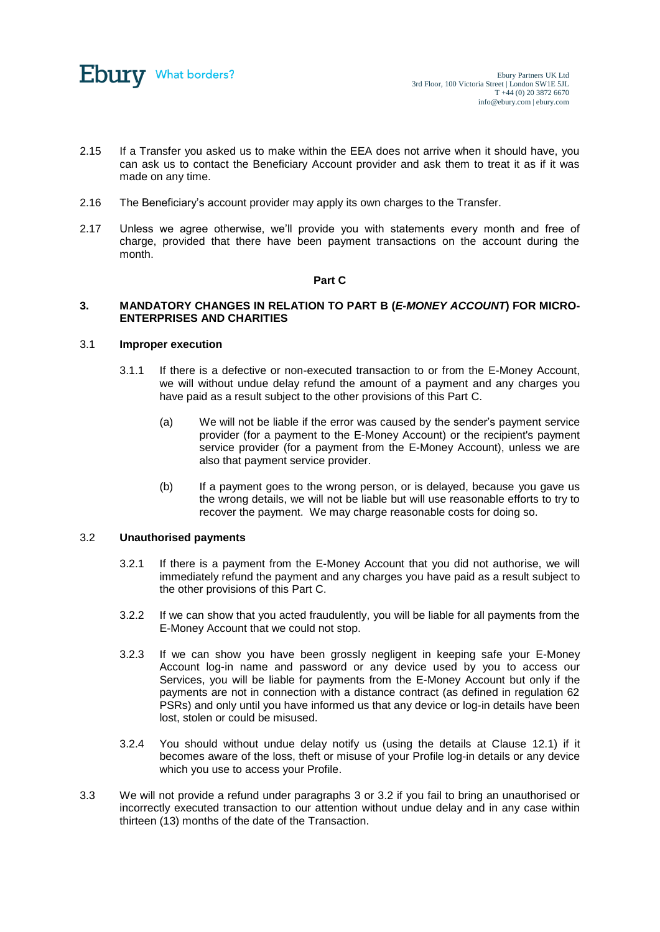

- 2.15 If a Transfer you asked us to make within the EEA does not arrive when it should have, you can ask us to contact the Beneficiary Account provider and ask them to treat it as if it was made on any time.
- 2.16 The Beneficiary's account provider may apply its own charges to the Transfer.
- 2.17 Unless we agree otherwise, we'll provide you with statements every month and free of charge, provided that there have been payment transactions on the account during the month.

## <span id="page-21-0"></span>**Part C**

## **3. MANDATORY CHANGES IN RELATION TO PART B (***E-MONEY ACCOUNT***) FOR MICRO-ENTERPRISES AND CHARITIES**

#### 3.1 **Improper execution**

- 3.1.1 If there is a defective or non-executed transaction to or from the E-Money Account, we will without undue delay refund the amount of a payment and any charges you have paid as a result subject to the other provisions of this Part C.
	- (a) We will not be liable if the error was caused by the sender's payment service provider (for a payment to the E-Money Account) or the recipient's payment service provider (for a payment from the E-Money Account), unless we are also that payment service provider.
	- (b) If a payment goes to the wrong person, or is delayed, because you gave us the wrong details, we will not be liable but will use reasonable efforts to try to recover the payment. We may charge reasonable costs for doing so.

# <span id="page-21-1"></span>3.2 **Unauthorised payments**

- 3.2.1 If there is a payment from the E-Money Account that you did not authorise, we will immediately refund the payment and any charges you have paid as a result subject to the other provisions of this Part C.
- 3.2.2 If we can show that you acted fraudulently, you will be liable for all payments from the E-Money Account that we could not stop.
- 3.2.3 If we can show you have been grossly negligent in keeping safe your E-Money Account log-in name and password or any device used by you to access our Services, you will be liable for payments from the E-Money Account but only if the payments are not in connection with a distance contract (as defined in regulation 62 PSRs) and only until you have informed us that any device or log-in details have been lost, stolen or could be misused.
- 3.2.4 You should without undue delay notify us (using the details at Clause [12.1\)](#page-10-0) if it becomes aware of the loss, theft or misuse of your Profile log-in details or any device which you use to access your Profile.
- 3.3 We will not provide a refund under paragraphs [3](#page-21-0) or [3.2](#page-21-1) if you fail to bring an unauthorised or incorrectly executed transaction to our attention without undue delay and in any case within thirteen (13) months of the date of the Transaction.